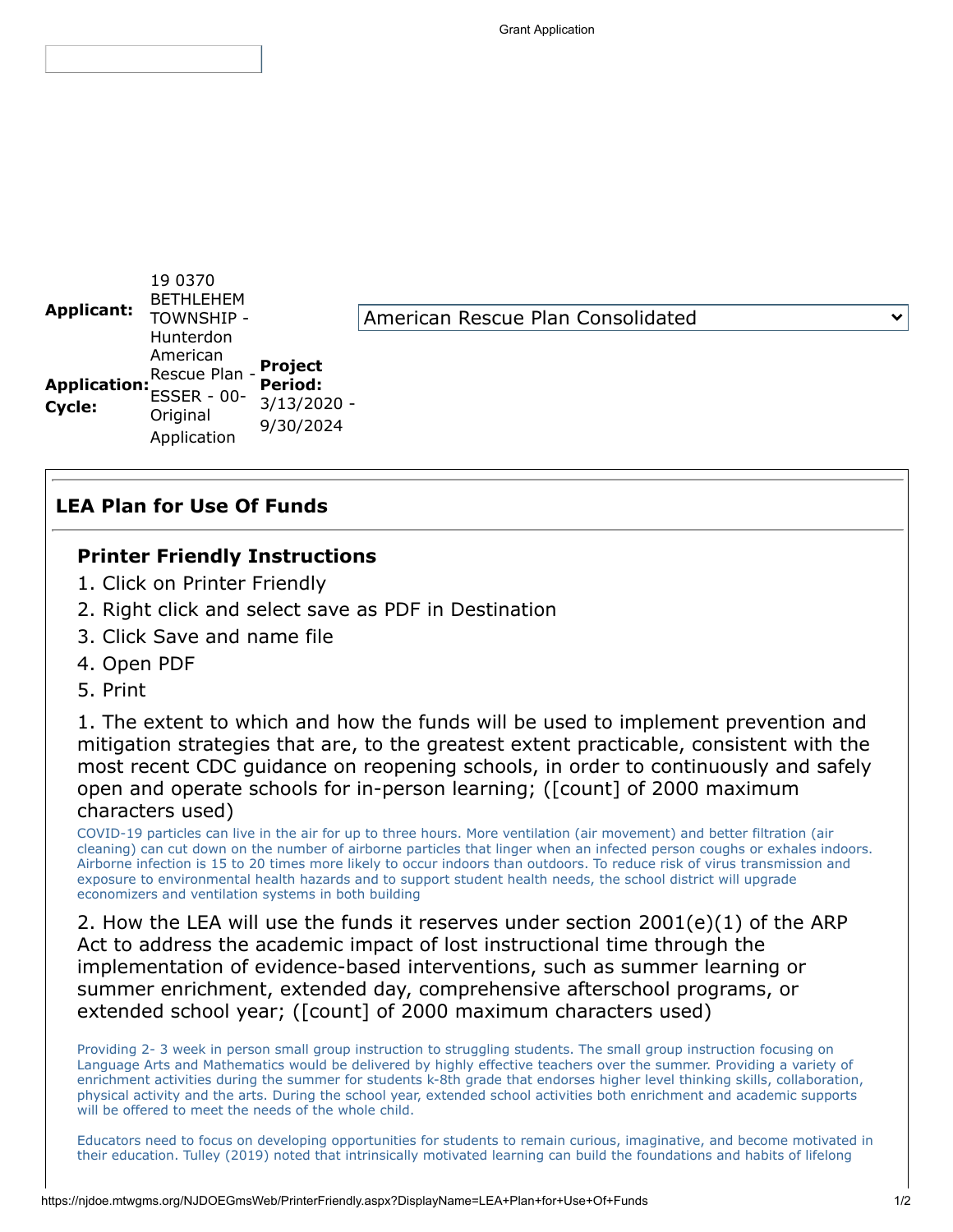

## **LEA Plan for Use Of Funds**

## **Printer Friendly Instructions**

- 1. Click on Printer Friendly
- 2. Right click and select save as PDF in Destination
- 3. Click Save and name file
- 4. Open PDF
- 5. Print

1. The extent to which and how the funds will be used to implement prevention and mitigation strategies that are, to the greatest extent practicable, consistent with the most recent CDC guidance on reopening schools, in order to continuously and safely open and operate schools for in-person learning; ([count] of 2000 maximum characters used)

COVID-19 particles can live in the air for up to three hours. More ventilation (air movement) and better filtration (air cleaning) can cut down on the number of airborne particles that linger when an infected person coughs or exhales indoors. Airborne infection is 15 to 20 times more likely to occur indoors than outdoors. To reduce risk of virus transmission and exposure to environmental health hazards and to support student health needs, the school district will upgrade economizers and ventilation systems in both building

2. How the LEA will use the funds it reserves under section 2001(e)(1) of the ARP Act to address the academic impact of lost instructional time through the implementation of evidence-based interventions, such as summer learning or summer enrichment, extended day, comprehensive afterschool programs, or extended school year; ([count] of 2000 maximum characters used)

Providing 2- 3 week in person small group instruction to struggling students. The small group instruction focusing on Language Arts and Mathematics would be delivered by highly effective teachers over the summer. Providing a variety of enrichment activities during the summer for students k-8th grade that endorses higher level thinking skills, collaboration, physical activity and the arts. During the school year, extended school activities both enrichment and academic supports will be offered to meet the needs of the whole child.

Educators need to focus on developing opportunities for students to remain curious, imaginative, and become motivated in their education. Tulley (2019) noted that intrinsically motivated learning can build the foundations and habits of lifelong